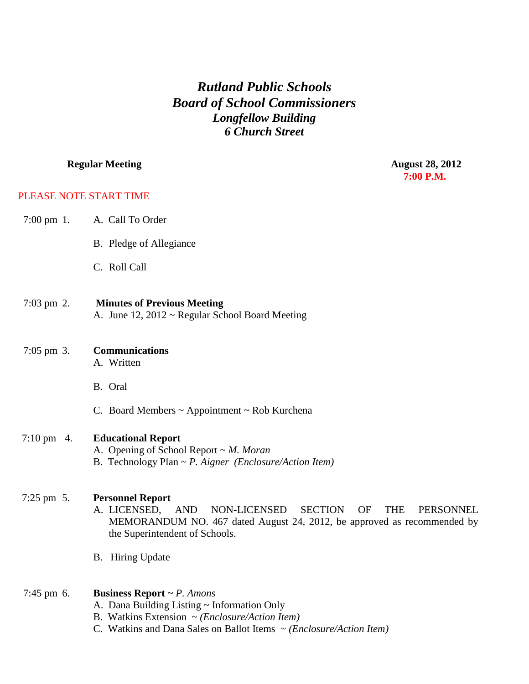## *Rutland Public Schools Board of School Commissioners Longfellow Building 6 Church Street*

## **Regular Meeting August 28, 2012**<br> **Regular Meeting August 28, 2012 7:00 P.M.**

## PLEASE NOTE START TIME

| $7:00 \text{ pm } 1$ . | A. Call To Order                                                                                                                                                                                                                                    |
|------------------------|-----------------------------------------------------------------------------------------------------------------------------------------------------------------------------------------------------------------------------------------------------|
|                        | B. Pledge of Allegiance                                                                                                                                                                                                                             |
|                        | C. Roll Call                                                                                                                                                                                                                                        |
| $7:03 \text{ pm } 2.$  | <b>Minutes of Previous Meeting</b><br>A. June 12, 2012 ~ Regular School Board Meeting                                                                                                                                                               |
| $7:05 \text{ pm } 3.$  | <b>Communications</b><br>A. Written                                                                                                                                                                                                                 |
|                        | B. Oral                                                                                                                                                                                                                                             |
|                        | C. Board Members $\sim$ Appointment $\sim$ Rob Kurchena                                                                                                                                                                                             |
| $7:10 \text{ pm}$ 4.   | <b>Educational Report</b><br>A. Opening of School Report $\sim M$ . Moran<br>B. Technology Plan $\sim P$ . Aigner (Enclosure/Action Item)                                                                                                           |
| $7:25 \text{ pm } 5.$  | <b>Personnel Report</b><br><b>SECTION</b><br>NON-LICENSED<br><b>OF</b><br><b>THE</b><br>A. LICENSED,<br><b>AND</b><br><b>PERSONNEL</b><br>MEMORANDUM NO. 467 dated August 24, 2012, be approved as recommended by<br>the Superintendent of Schools. |
|                        | B. Hiring Update                                                                                                                                                                                                                                    |
| 7:45 pm 6.             | <b>Business Report</b> $\sim P$ . Amons<br>A. Dana Building Listing ~ Information Only<br>B. Watkins Extension $\sim$ ( <i>Enclosure</i> / <i>Action Item</i> )                                                                                     |

C. Watkins and Dana Sales on Ballot Items ~ *(Enclosure/Action Item)*